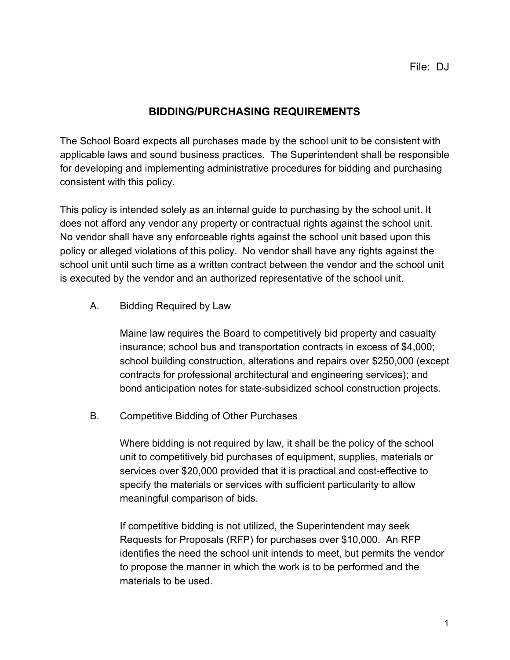## **BIDDING/PURCHASING REQUIREMENTS**

The School Board expects all purchases made by the school unit to be consistent with applicable laws and sound business practices. The Superintendent shall be responsible for developing and implementing administrative procedures for bidding and purchasing consistent with this policy.

This policy is intended solely as an internal guide to purchasing by the school unit. It does not afford any vendor any property or contractual rights against the school unit. No vendor shall have any enforceable rights against the school unit based upon this policy or alleged violations of this policy. No vendor shall have any rights against the school unit until such time as a written contract between the vendor and the school unit is executed by the vendor and an authorized representative of the school unit.

A. Bidding Required by Law

Maine law requires the Board to competitively bid property and casualty insurance; school bus and transportation contracts in excess of \$4,000; school building construction, alterations and repairs over \$250,000 (except contracts for professional architectural and engineering services); and bond anticipation notes for state-subsidized school construction projects.

B. Competitive Bidding of Other Purchases

Where bidding is not required by law, it shall be the policy of the school unit to competitively bid purchases of equipment, supplies, materials or services over \$20,000 provided that it is practical and cost-effective to specify the materials or services with sufficient particularity to allow meaningful comparison of bids.

If competitive bidding is not utilized, the Superintendent may seek Requests for Proposals (RFP) for purchases over \$10,000. An RFP identifies the need the school unit intends to meet, but permits the vendor to propose the manner in which the work is to be performed and the materials to be used.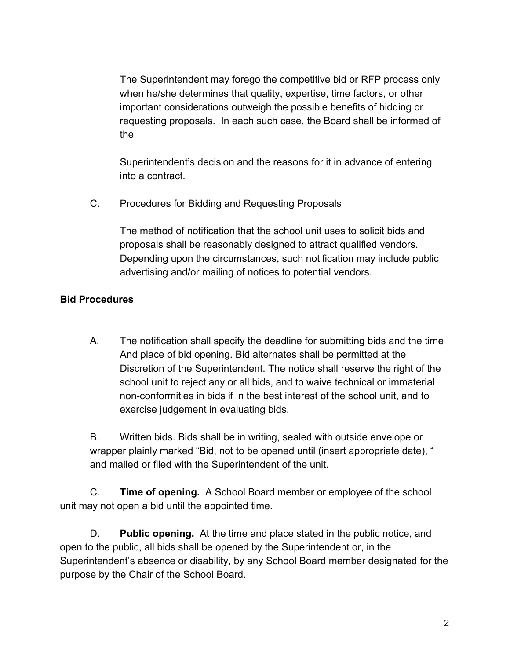The Superintendent may forego the competitive bid or RFP process only when he/she determines that quality, expertise, time factors, or other important considerations outweigh the possible benefits of bidding or requesting proposals. In each such case, the Board shall be informed of the

Superintendent's decision and the reasons for it in advance of entering into a contract.

C. Procedures for Bidding and Requesting Proposals

The method of notification that the school unit uses to solicit bids and proposals shall be reasonably designed to attract qualified vendors. Depending upon the circumstances, such notification may include public advertising and/or mailing of notices to potential vendors.

## **Bid Procedures**

A. The notification shall specify the deadline for submitting bids and the time And place of bid opening. Bid alternates shall be permitted at the Discretion of the Superintendent. The notice shall reserve the right of the school unit to reject any or all bids, and to waive technical or immaterial non-conformities in bids if in the best interest of the school unit, and to exercise judgement in evaluating bids.

B. Written bids. Bids shall be in writing, sealed with outside envelope or wrapper plainly marked "Bid, not to be opened until (insert appropriate date), " and mailed or filed with the Superintendent of the unit.

C. **Time of opening.** A School Board member or employee of the school unit may not open a bid until the appointed time.

D. **Public opening.** At the time and place stated in the public notice, and open to the public, all bids shall be opened by the Superintendent or, in the Superintendent's absence or disability, by any School Board member designated for the purpose by the Chair of the School Board.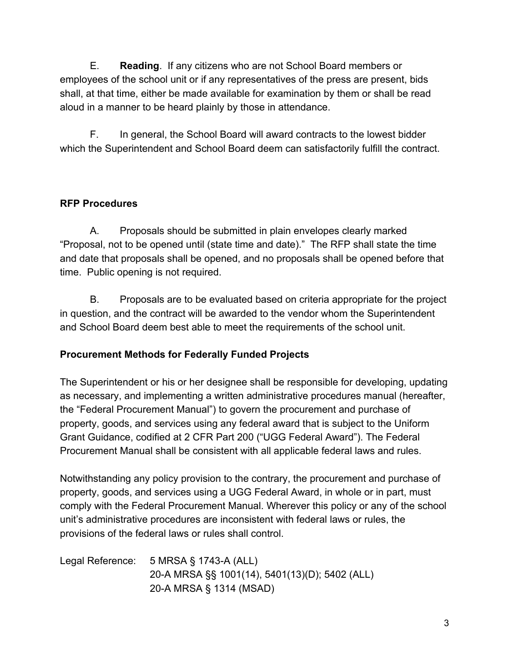E. **Reading**. If any citizens who are not School Board members or employees of the school unit or if any representatives of the press are present, bids shall, at that time, either be made available for examination by them or shall be read aloud in a manner to be heard plainly by those in attendance.

F. In general, the School Board will award contracts to the lowest bidder which the Superintendent and School Board deem can satisfactorily fulfill the contract.

## **RFP Procedures**

A. Proposals should be submitted in plain envelopes clearly marked "Proposal, not to be opened until (state time and date)." The RFP shall state the time and date that proposals shall be opened, and no proposals shall be opened before that time. Public opening is not required.

B. Proposals are to be evaluated based on criteria appropriate for the project in question, and the contract will be awarded to the vendor whom the Superintendent and School Board deem best able to meet the requirements of the school unit.

## **Procurement Methods for Federally Funded Projects**

The Superintendent or his or her designee shall be responsible for developing, updating as necessary, and implementing a written administrative procedures manual (hereafter, the "Federal Procurement Manual") to govern the procurement and purchase of property, goods, and services using any federal award that is subject to the Uniform Grant Guidance, codified at 2 CFR Part 200 ("UGG Federal Award"). The Federal Procurement Manual shall be consistent with all applicable federal laws and rules.

Notwithstanding any policy provision to the contrary, the procurement and purchase of property, goods, and services using a UGG Federal Award, in whole or in part, must comply with the Federal Procurement Manual. Wherever this policy or any of the school unit's administrative procedures are inconsistent with federal laws or rules, the provisions of the federal laws or rules shall control.

| Legal Reference: | 5 MRSA § 1743-A (ALL)                          |
|------------------|------------------------------------------------|
|                  | 20-A MRSA §§ 1001(14), 5401(13)(D); 5402 (ALL) |
|                  | 20-A MRSA § 1314 (MSAD)                        |